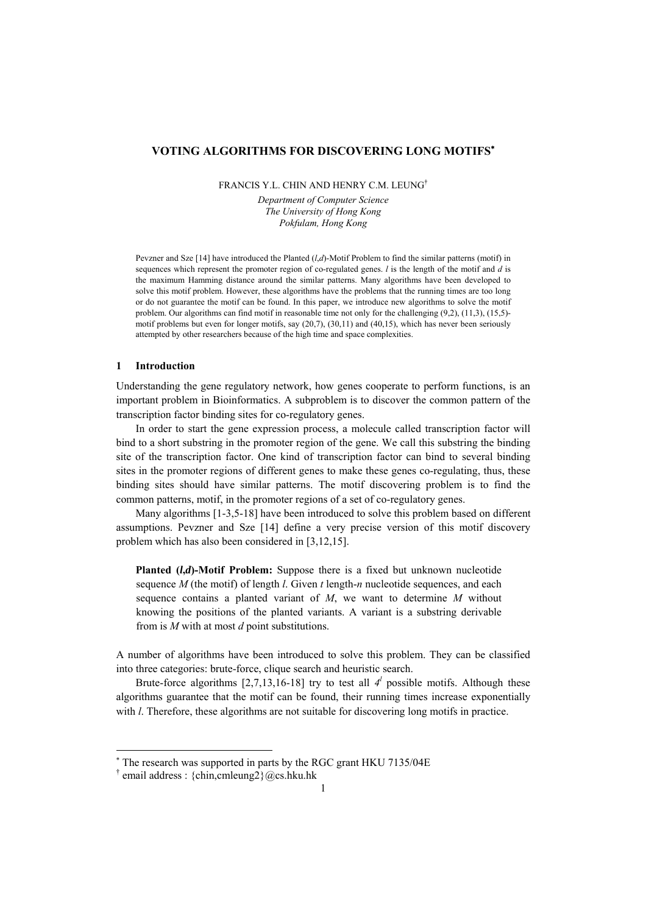# **VOTING ALGORITHMS FOR DISCOVERING LONG MOTIFS**[∗](#page-0-0)

FRANCIS Y.L. CHIN AND HENRY C.M. LEUNG<sup>†</sup>

*Department of Computer Science The University of Hong Kong Pokfulam, Hong Kong* 

Pevzner and Sze [14] have introduced the Planted (*l*,*d*)-Motif Problem to find the similar patterns (motif) in sequences which represent the promoter region of co-regulated genes. *l* is the length of the motif and *d* is the maximum Hamming distance around the similar patterns. Many algorithms have been developed to solve this motif problem. However, these algorithms have the problems that the running times are too long or do not guarantee the motif can be found. In this paper, we introduce new algorithms to solve the motif problem. Our algorithms can find motif in reasonable time not only for the challenging (9,2), (11,3), (15,5)motif problems but even for longer motifs, say (20,7), (30,11) and (40,15), which has never been seriously attempted by other researchers because of the high time and space complexities.

## **1 Introduction**

l

Understanding the gene regulatory network, how genes cooperate to perform functions, is an important problem in Bioinformatics. A subproblem is to discover the common pattern of the transcription factor binding sites for co-regulatory genes.

In order to start the gene expression process, a molecule called transcription factor will bind to a short substring in the promoter region of the gene. We call this substring the binding site of the transcription factor. One kind of transcription factor can bind to several binding sites in the promoter regions of different genes to make these genes co-regulating, thus, these binding sites should have similar patterns. The motif discovering problem is to find the common patterns, motif, in the promoter regions of a set of co-regulatory genes.

Many algorithms [1-3,5-18] have been introduced to solve this problem based on different assumptions. Pevzner and Sze [14] define a very precise version of this motif discovery problem which has also been considered in [3,12,15].

**Planted (***l***,***d***)-Motif Problem:** Suppose there is a fixed but unknown nucleotide sequence *M* (the motif) of length *l*. Given *t* length-*n* nucleotide sequences, and each sequence contains a planted variant of *M*, we want to determine *M* without knowing the positions of the planted variants. A variant is a substring derivable from is *M* with at most *d* point substitutions.

A number of algorithms have been introduced to solve this problem. They can be classified into three categories: brute-force, clique search and heuristic search.

Brute-force algorithms  $[2,7,13,16-18]$  try to test all  $4<sup>l</sup>$  possible motifs. Although these algorithms guarantee that the motif can be found, their running times increase exponentially with *l*. Therefore, these algorithms are not suitable for discovering long motifs in practice.

<span id="page-0-0"></span><sup>∗</sup> The research was supported in parts by the RGC grant HKU 7135/04E

<span id="page-0-1"></span> $\dagger$  email address : {chin,cmleung2}@cs.hku.hk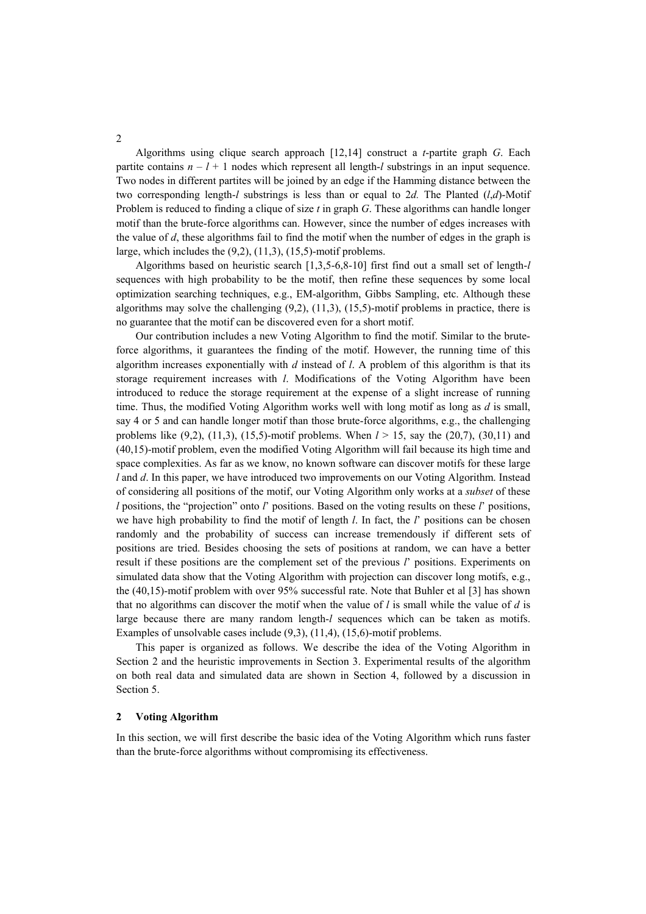Algorithms using clique search approach [12,14] construct a *t*-partite graph *G*. Each partite contains  $n - l + 1$  nodes which represent all length-*l* substrings in an input sequence. Two nodes in different partites will be joined by an edge if the Hamming distance between the two corresponding length-*l* substrings is less than or equal to 2*d.* The Planted (*l*,*d*)-Motif Problem is reduced to finding a clique of size *t* in graph *G*. These algorithms can handle longer motif than the brute-force algorithms can. However, since the number of edges increases with the value of *d*, these algorithms fail to find the motif when the number of edges in the graph is large, which includes the  $(9,2)$ ,  $(11,3)$ ,  $(15,5)$ -motif problems.

Algorithms based on heuristic search [1,3,5-6,8-10] first find out a small set of length-*l* sequences with high probability to be the motif, then refine these sequences by some local optimization searching techniques, e.g., EM-algorithm, Gibbs Sampling, etc. Although these algorithms may solve the challenging  $(9,2)$ ,  $(11,3)$ ,  $(15,5)$ -motif problems in practice, there is no guarantee that the motif can be discovered even for a short motif.

Our contribution includes a new Voting Algorithm to find the motif. Similar to the bruteforce algorithms, it guarantees the finding of the motif. However, the running time of this algorithm increases exponentially with *d* instead of *l*. A problem of this algorithm is that its storage requirement increases with *l*. Modifications of the Voting Algorithm have been introduced to reduce the storage requirement at the expense of a slight increase of running time. Thus, the modified Voting Algorithm works well with long motif as long as *d* is small, say 4 or 5 and can handle longer motif than those brute-force algorithms, e.g., the challenging problems like  $(9,2)$ ,  $(11,3)$ ,  $(15,5)$ -motif problems. When  $l > 15$ , say the  $(20,7)$ ,  $(30,11)$  and (40,15)-motif problem, even the modified Voting Algorithm will fail because its high time and space complexities. As far as we know, no known software can discover motifs for these large *l* and *d*. In this paper, we have introduced two improvements on our Voting Algorithm. Instead of considering all positions of the motif, our Voting Algorithm only works at a *subset* of these  $l$  positions, the "projection" onto  $l'$  positions. Based on the voting results on these  $l'$  positions, we have high probability to find the motif of length *l*. In fact, the *l*í positions can be chosen randomly and the probability of success can increase tremendously if different sets of positions are tried. Besides choosing the sets of positions at random, we can have a better result if these positions are the complement set of the previous *l*í positions. Experiments on simulated data show that the Voting Algorithm with projection can discover long motifs, e.g., the (40,15)-motif problem with over 95% successful rate. Note that Buhler et al [3] has shown that no algorithms can discover the motif when the value of *l* is small while the value of *d* is large because there are many random length-*l* sequences which can be taken as motifs. Examples of unsolvable cases include (9,3), (11,4), (15,6)-motif problems.

This paper is organized as follows. We describe the idea of the Voting Algorithm in Section 2 and the heuristic improvements in Section 3. Experimental results of the algorithm on both real data and simulated data are shown in Section 4, followed by a discussion in Section 5.

### **2 Voting Algorithm**

In this section, we will first describe the basic idea of the Voting Algorithm which runs faster than the brute-force algorithms without compromising its effectiveness.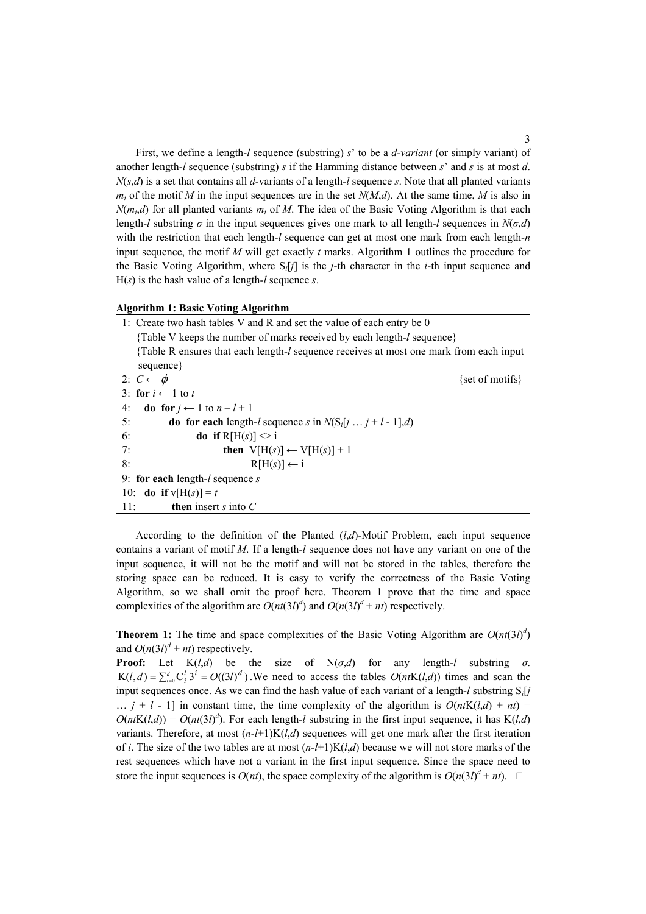First, we define a length-*l* sequence (substring) *s*í to be a *d-variant* (or simply variant) of another length-*l* sequence (substring) *s* if the Hamming distance between *s*í and *s* is at most *d*.  $N(s,d)$  is a set that contains all *d*-variants of a length-*l* sequence *s*. Note that all planted variants  $m_i$  of the motif *M* in the input sequences are in the set  $N(M,d)$ . At the same time, *M* is also in  $N(m_i,d)$  for all planted variants  $m_i$  of M. The idea of the Basic Voting Algorithm is that each length-*l* substring  $\sigma$  in the input sequences gives one mark to all length-*l* sequences in  $N(\sigma,d)$ with the restriction that each length-*l* sequence can get at most one mark from each length-*n* input sequence, the motif *M* will get exactly *t* marks. Algorithm 1 outlines the procedure for the Basic Voting Algorithm, where S*i*[*j*] is the *j*-th character in the *i*-th input sequence and H(*s*) is the hash value of a length-*l* sequence *s*.

## **Algorithm 1: Basic Voting Algorithm**

|     | 1: Create two hash tables V and R and set the value of each entry be 0                         |  |  |  |  |  |
|-----|------------------------------------------------------------------------------------------------|--|--|--|--|--|
|     | {Table V keeps the number of marks received by each length- <i>l</i> sequence}                 |  |  |  |  |  |
|     | {Table R ensures that each length- <i>l</i> sequence receives at most one mark from each input |  |  |  |  |  |
|     | sequence }                                                                                     |  |  |  |  |  |
|     | 2: $C \leftarrow \phi$<br>{set of motifs}                                                      |  |  |  |  |  |
|     | 3: for $i \leftarrow 1$ to t                                                                   |  |  |  |  |  |
| 4:  | <b>do</b> for $j \leftarrow 1$ to $n - l + 1$                                                  |  |  |  |  |  |
| 5:  | <b>do for each</b> length-l sequence s in $N(S_i[j \dots j+1-1], d)$                           |  |  |  |  |  |
| 6:  | <b>do</b> if $R[H(s)] \leq i$                                                                  |  |  |  |  |  |
| 7:  | then $V[H(s)] \leftarrow V[H(s)] + 1$                                                          |  |  |  |  |  |
| 8:  | $R[H(s)] \leftarrow i$                                                                         |  |  |  |  |  |
|     | 9: for each length- $l$ sequence s                                                             |  |  |  |  |  |
|     | 10: <b>do</b> if $v[H(s)] = t$                                                                 |  |  |  |  |  |
| 11: | <b>then</b> insert s into $C$                                                                  |  |  |  |  |  |

According to the definition of the Planted (*l*,*d*)-Motif Problem, each input sequence contains a variant of motif *M*. If a length-*l* sequence does not have any variant on one of the input sequence, it will not be the motif and will not be stored in the tables, therefore the storing space can be reduced. It is easy to verify the correctness of the Basic Voting Algorithm, so we shall omit the proof here. Theorem 1 prove that the time and space complexities of the algorithm are  $O(nt(3l)^d)$  and  $O(n(3l)^d + nt)$  respectively.

**Theorem 1:** The time and space complexities of the Basic Voting Algorithm are  $O(nt(3l)^d)$ and  $O(n(3l)^d + nt)$  respectively.

**Proof:** Let  $K(l,d)$  be the size of  $N(\sigma,d)$  for any length-*l* substring  $\sigma$ .  $K(l, d) = \sum_{i=0}^{d} C_i^l 3^i = O((3l)^d)$ . We need to access the tables  $O(ntK(l,d))$  times and scan the input sequences once. As we can find the hash value of each variant of a length-*l* substring S *i*[*j*  $\ldots$  *j* + *l* - 1] in constant time, the time complexity of the algorithm is  $O(ntK(l,d) + nt)$  $O(ntK(l,d)) = O(nt(3l)^d)$ . For each length-*l* substring in the first input sequence, it has  $K(l,d)$ variants. Therefore, at most  $(n-l+1)K(l,d)$  sequences will get one mark after the first iteration of *i*. The size of the two tables are at most  $(n-l+1)K(l,d)$  because we will not store marks of the rest sequences which have not a variant in the first input sequence. Since the space need to store the input sequences is  $O(nt)$ , the space complexity of the algorithm is  $O(n(3l)^d + nt)$ .  $\Box$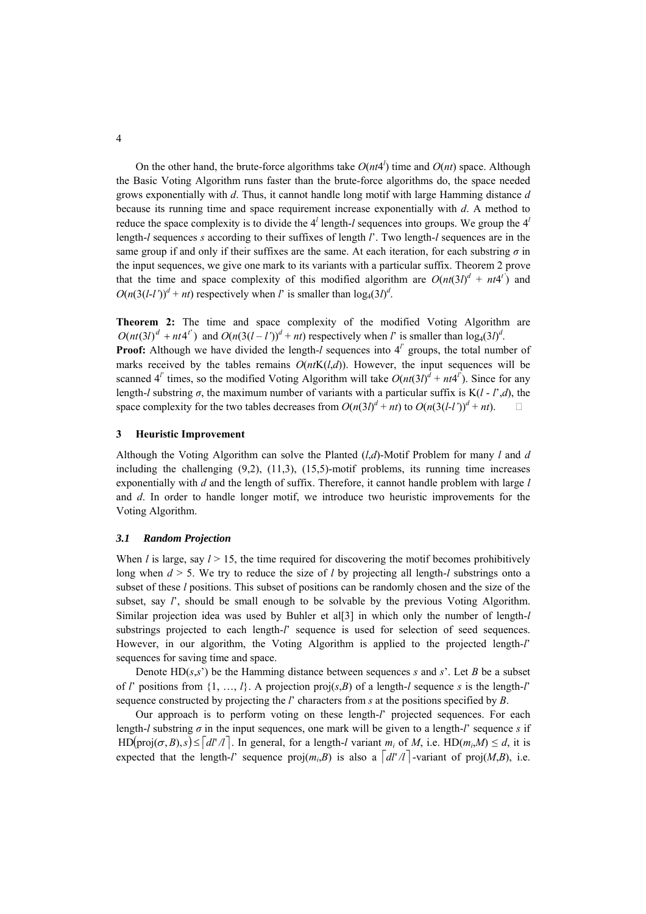On the other hand, the brute-force algorithms take  $O(nt4^l)$  time and  $O(nt)$  space. Although the Basic Voting Algorithm runs faster than the brute-force algorithms do, the space needed grows exponentially with *d*. Thus, it cannot handle long motif with large Hamming distance *d* because its running time and space requirement increase exponentially with *d*. A method to reduce the space complexity is to divide the  $4^l$  length-*l* sequences into groups. We group the  $4^l$ length-*l* sequences *s* according to their suffixes of length *l*í. Two length-*l* sequences are in the same group if and only if their suffixes are the same. At each iteration, for each substring  $\sigma$  in the input sequences, we give one mark to its variants with a particular suffix. Theorem 2 prove that the time and space complexity of this modified algorithm are  $O(nt(3l)^d + nt4l^t)$  and  $O(n(3(l-l'))^d + nt)$  respectively when *l*<sup>*i*</sup> is smaller than  $log_4(3l)^d$ .

**Theorem 2:** The time and space complexity of the modified Voting Algorithm are  $O(nt(3l)^d + nt4^{l'}$  and  $O(n(3(l-l'))^d + nt)$  respectively when *l*<sup>*i*</sup> is smaller than  $log_4(3l)^d$ .

**Proof:** Although we have divided the length- $l$  sequences into  $4^l$  groups, the total number of marks received by the tables remains  $O(ntK(l,d))$ . However, the input sequences will be scanned  $4^{l'}$  times, so the modified Voting Algorithm will take  $O(nt(3l)^{d} + nt4^{l'})$ . Since for any length-*l* substring  $\sigma$ , the maximum number of variants with a particular suffix is K(*l* - *l'*,*d*), the space complexity for the two tables decreases from  $O(n(3l)^{d} + nt)$  to  $O(n(3(l-l))^{d} + nt)$ .

## **3 Heuristic Improvement**

Although the Voting Algorithm can solve the Planted (*l*,*d*)-Motif Problem for many *l* and *d* including the challenging  $(9,2)$ ,  $(11,3)$ ,  $(15,5)$ -motif problems, its running time increases exponentially with *d* and the length of suffix. Therefore, it cannot handle problem with large *l* and *d*. In order to handle longer motif, we introduce two heuristic improvements for the Voting Algorithm.

## *3.1 Random Projection*

When *l* is large, say  $l > 15$ , the time required for discovering the motif becomes prohibitively long when *d* > 5. We try to reduce the size of *l* by projecting all length-*l* substrings onto a subset of these *l* positions. This subset of positions can be randomly chosen and the size of the subset, say  $l'$ , should be small enough to be solvable by the previous Voting Algorithm. Similar projection idea was used by Buhler et al[3] in which only the number of length-*l* substrings projected to each length-*l*<sup> $\prime$ </sup> sequence is used for selection of seed sequences. However, in our algorithm, the Voting Algorithm is applied to the projected length-*l*í sequences for saving time and space.

Denote  $HD(s,s')$  be the Hamming distance between sequences *s* and *s*<sup> $\prime$ </sup>. Let *B* be a subset of *l*<sup> $\prime$ </sup> positions from {1, ..., *l*}. A projection proj(*s*,*B*) of a length-*l* sequence *s* is the length-*l*<sup> $\prime$ </sup> sequence constructed by projecting the *l*í characters from *s* at the positions specified by *B*.

 $HD(proj(\sigma, B), s) \leq |dl'/l|$ . In general, for a length-*l* variant  $m_i$  of *M*, i.e.  $HD(m_i, M) \leq d$ , it is Our approach is to perform voting on these length-*l*í projected sequences. For each length-*l* substring  $\sigma$  in the input sequences, one mark will be given to a length-*l*<sup> $\prime$ </sup> sequence *s* if expected that the length-*l*<sup>*i*</sup> sequence proj $(m_i, B)$  is also a  $\lceil d \rceil /l \rceil$ -variant of proj $(M, B)$ , i.e.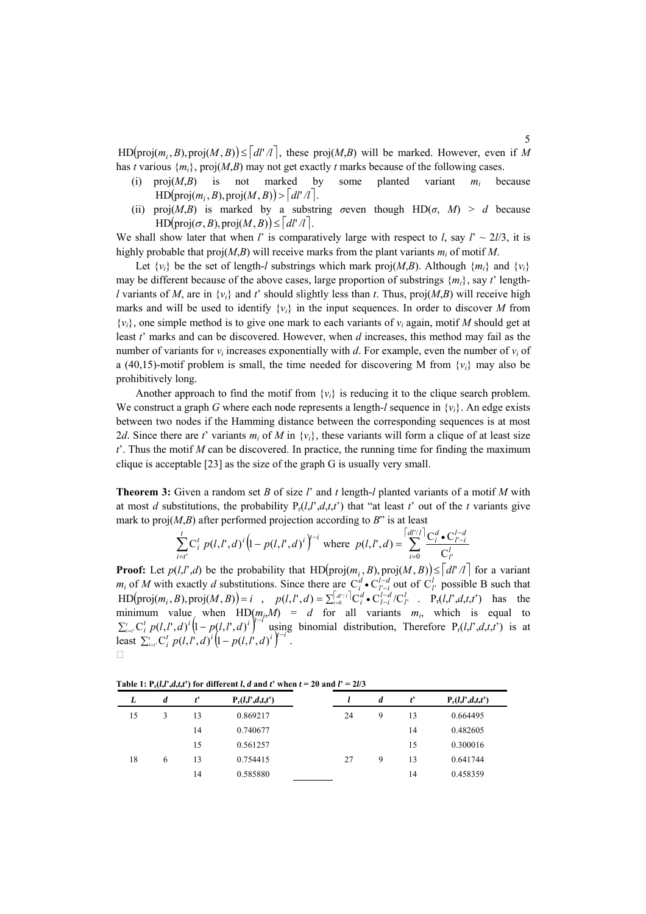$HD(proj(m_i, B), proj(M, B)) \leq |dl'/l|$ , these  $proj(M, B)$  will be marked. However, even if M has *t* various  ${m_i}$ , proj $(M, B)$  may not get exactly *t* marks because of the following cases.

- $HD(proj(m_i, B), proj(M, B)) > |dl'/l|.$ (i)  $\text{proj}(M, B)$  is not marked by some planted variant  $m_i$  because
- $HD(proj(\sigma, B), proj(M, B)) \leq |dl' /l|.$ (ii) proj $(M,B)$  is marked by a substring *σ*even though HD(*σ*, *M*) > *d* because

We shall show later that when *l*<sup> $\prime$ </sup> is comparatively large with respect to *l*, say  $l^{\prime} \sim 2l/3$ , it is highly probable that  $proj(M, B)$  will receive marks from the plant variants  $m_i$  of motif M.

Let  $\{v_i\}$  be the set of length-*l* substrings which mark proj $(M, B)$ . Although  $\{m_i\}$  and  $\{v_i\}$ may be different because of the above cases, large proportion of substrings  $\{m_i\}$ , say *t*<sup> $\prime$ </sup> length*l* variants of *M*, are in  $\{v_i\}$  and *t*<sup> $\prime$ </sup> should slightly less than *t*. Thus, proj(*M*,*B*) will receive high marks and will be used to identify  $\{v_i\}$  in the input sequences. In order to discover M from  $\{v_i\}$ , one simple method is to give one mark to each variants of  $v_i$  again, motif M should get at least *t*í marks and can be discovered. However, when *d* increases, this method may fail as the number of variants for  $v_i$  increases exponentially with *d*. For example, even the number of  $v_i$  of a (40,15)-motif problem is small, the time needed for discovering M from  $\{v_i\}$  may also be prohibitively long.

Another approach to find the motif from  $\{v_i\}$  is reducing it to the clique search problem. We construct a graph G where each node represents a length- $l$  sequence in  $\{v_i\}$ . An edge exists between two nodes if the Hamming distance between the corresponding sequences is at most 2*d*. Since there are *t*' variants  $m_i$  of *M* in  $\{v_i\}$ , these variants will form a clique of at least size  $t<sup>2</sup>$ . Thus the motif *M* can be discovered. In practice, the running time for finding the maximum clique is acceptable [23] as the size of the graph G is usually very small.

**Theorem 3:** Given a random set *B* of size *l*í and *t* length-*l* planted variants of a motif *M* with at most *d* substitutions, the probability  $P_r(l, l, d, t, t')$  that "at least *t*' out of the *t* variants give mark to  $proj(M, B)$  after performed projection according to  $B$ <sup>n</sup> is at least

$$
\sum_{i=t'}^{t} C_i^t p(l, l', d)^i \Big(1 - p(l, l', d)^i\Big)^{t-i}
$$
 where  $p(l, l', d) = \sum_{i=0}^{\lceil d l'/l \rceil} \frac{C_i^d \cdot C_{l'-i}^{l-d}}{C_l^l}$ 

 $HD(proj(m_i, B), proj(M, B)) = i$ , p  $\sum_{i=t'}^{t} C_i^t p(l, l', d)^i \Big(1-p(l, l', d)^i\Big)^{t-i}$  $\sum_{i=1}^{t} C_i^t p(l, l^t, d)^i \left(1 - p(l, l^t, d)^i\right)$ **Proof:** Let  $p(l, l', d)$  be the probability that HD(proj $(m_i, B)$ , proj $(M, B)$ )  $\leq d l' / l$  for a variant  $m_i$  of *M* with exactly *d* substitutions. Since there are  $C_i^d \cdot C_{i-i}^{d}$  out of  $C_i^l$  possible B such that ,  $p(l, l', d) = \sum_{i=0}^{|d|/l} |C_i^d \bullet C_{l-i}^{l-d} / C_{l'}^{l}$  . P Since there are  $C_l^d \cdot C_{l-i}^{l-d}$  out of  $C_l^l$  possible B such that  $(l, l', d) = \sum_{i=0}^{\lceil d^{l/2} \rceil} C_l^d \cdot C_{l-i}^{l-d} / C_l^l$ .  $P_r(l, l', d, t, t')$  has the minimum value when  $HD(m_i, M) = d$  for all variants  $m_i$ , which is equal to using binom ) −*i* ial distribution, Therefore  $P_r(l,l',d,t,t')$  is at least  $\sum_{i=t'}^{t} C_i^t p(l, l', d)^t [1-p(l, l', d)^t]$ .  $\Box$ 

Table 1:  $P_r(l,l',d,t,t')$  for different *l*, *d* and *t*' when  $t = 20$  and  $l' = 2l/3$ 

| L  | $\boldsymbol{d}$ | $t^{\prime}$ | $P_r(l,l',d,t,t')$ |    | d | ť  | $P_r(l,l',d,t,t')$ |
|----|------------------|--------------|--------------------|----|---|----|--------------------|
| 15 |                  | 13           | 0.869217           | 24 | 9 | 13 | 0.664495           |
|    |                  | 14           | 0.740677           |    |   | 14 | 0.482605           |
|    |                  | 15           | 0.561257           |    |   | 15 | 0.300016           |
| 18 | 6                | 13           | 0.754415           | 27 | 9 | 13 | 0.641744           |
|    |                  | 14           | 0.585880           |    |   | 14 | 0.458359           |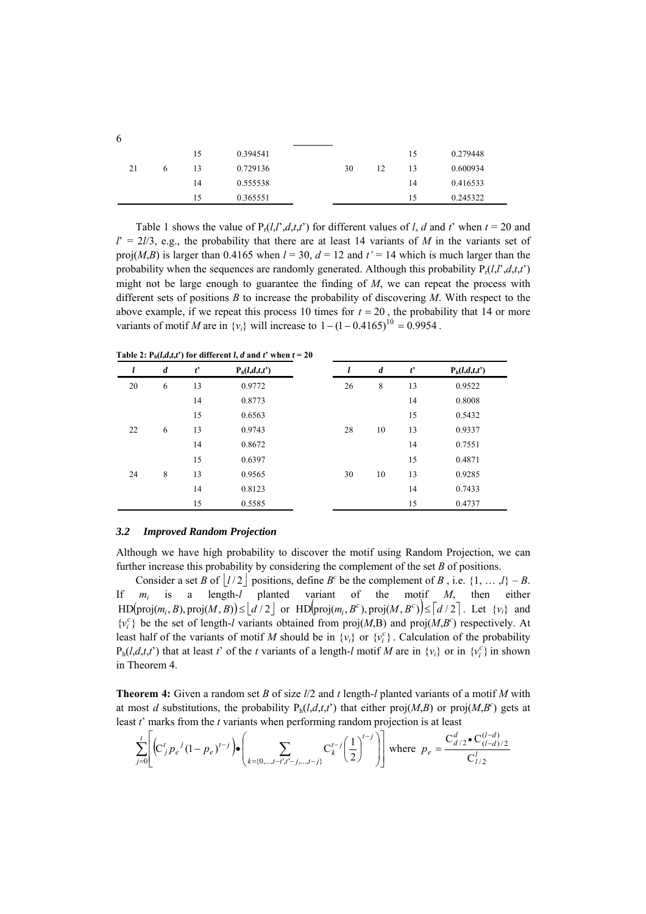| 0.279448 |
|----------|
| 0.600934 |
| 0.416533 |
| 0.245322 |
|          |

Table 1 shows the value of  $P_t(l, l', d, t, t')$  for different values of *l*, *d* and *t*<sup> $\prime$ </sup> when  $t = 20$  and  $l' = 2l/3$ , e.g., the probability that there are at least 14 variants of *M* in the variants set of proj(*M*,*B*) is larger than 0.4165 when  $l = 30$ ,  $d = 12$  and  $t' = 14$  which is much larger than the probability when the sequences are randomly generated. Although this probability  $P_t(l,l',d,t,t')$ might not be large enough to guarantee the finding of *M*, we can repeat the process with different sets of positions *B* to increase the probability of discovering *M*. With respect to the above example, if we repeat this process 10 times for  $t = 20$ , the probability that 14 or more variants of motif *M* are in  $\{v_i\}$  will increase to  $1 - (1 - 0.4165)^{10} = 0.9954$ .

**Table 2:**  $P_h(l,d,t,t')$  for different *l*, *d* and *t*<sup>*t*</sup> when  $t = 20$ 

| l  | $\boldsymbol{d}$ | $t^{\prime}$ | $P_h(l,d,t,t')$ | l  | $\boldsymbol{d}$ | $t^{\prime}$ | $P_h(l,d,t,t')$ |
|----|------------------|--------------|-----------------|----|------------------|--------------|-----------------|
| 20 | 6                | 13           | 0.9772          | 26 | 8                | 13           | 0.9522          |
|    |                  | 14           | 0.8773          |    |                  | 14           | 0.8008          |
|    |                  | 15           | 0.6563          |    |                  | 15           | 0.5432          |
| 22 | 6                | 13           | 0.9743          | 28 | 10               | 13           | 0.9337          |
|    |                  | 14           | 0.8672          |    |                  | 14           | 0.7551          |
|    |                  | 15           | 0.6397          |    |                  | 15           | 0.4871          |
| 24 | 8                | 13           | 0.9565          | 30 | 10               | 13           | 0.9285          |
|    |                  | 14           | 0.8123          |    |                  | 14           | 0.7433          |
|    |                  | 15           | 0.5585          |    |                  | 15           | 0.4737          |

#### *3.2 Improved Random Projection*

Although we have high probability to discover the motif using Random Projection, we can further increase this probability by considering the complement of the set *B* of positions.

Consider a set *B* of  $\lfloor l/2 \rfloor$  positions, define *B*<sup>*c*</sup> be the complement of *B*, i.e. {1, ...,*l*} - *B*.  $\text{HD}(\text{proj}(m_i, B), \text{proj}(M, B)) \leq \lfloor d/2 \rfloor \text{ or } \text{HD}(\text{proj}(m_i, B^c), \text{proj}(M, B^c) \leq \lceil d/2 \rceil$ . Let  $\{v_i\}$  and If  $m_i$  is a length-*l* planted variant of the motif *M*, then either  $m_i$ least half of the variants of motif *M* should be in  $\{v_i\}$  or  $\{v_i^c\}$ . Calculation of the probability  ${v<sub>i</sub>}^c$  be the set of length-*l* variants obtained from proj(*M*,B) and proj(*M*,B<sup>c</sup>) respectively. At  $P_h(l,d,t,t')$  that at least *t*' of the *t* variants of a length-*l* motif *M* are in  $\{v_i\}$  or in  $\{v_i^c\}$  in shown in Theorem 4.

**Theorem 4:** Given a random set *B* of size *l*/2 and *t* length-*l* planted variants of a motif *M* with at most *d* substitutions, the probability  $P_h(l,d,t,t')$  that either proj $(M,B)$  or proj $(M,B^c)$  gets at least *t*í marks from the *t* variants when performing random projection is at least

$$
\sum_{j=0}^{t} \left[ \left( C_j' p_e^{j} (1 - p_e)^{t-j} \right) \bullet \left( \sum_{k=\{0,\dots,t-t\},t'-j,\dots,t-j\}} C_k^{t-j} \left( \frac{1}{2} \right)^{t-j} \right) \right] \text{ where } p_e = \frac{C_{d/2}^d \bullet C_{(l-d)/2}^{(l-d)}}{C_{l/2}^l}
$$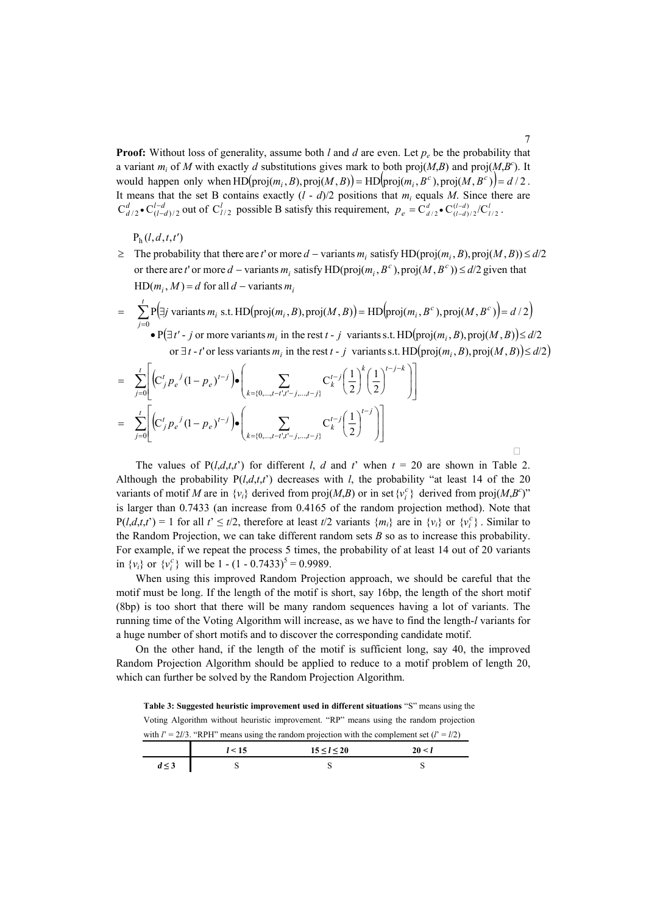**Proof:** Without loss of generality, assume both *l* and *d* are even. Let  $p_e$  be the probability that a variant  $m_i$  of *M* with exactly *d* substitutions gives mark to both proj(*M*,*B*) and proj( $M$ ,*B<sup>c</sup>*). It would happen only when  $HD( \text{proj}(m_i, B), \text{proj}(M, B)) = HD( \text{proj}(m_i, B^c), \text{proj}(M, B^c)) = d/2$ .  $C_{d/2}^d \bullet C_{(l-d)/2}^{l-d}$  out of  $C_{l/2}^l$  possible B satisfy this requirement,  $p_e = C_{d/2}^d \bullet C_{(l-d)/2}^{(l-d)}/C_{l/2}^l$ . It means that the set B contains exactly  $(l - d)/2$  positions that  $m_i$  equals *M*. Since there are

 $P_h(l, d, t, t')$ 

- $HD(m_i, M) = d$  for all  $d$  variants  $m_i$ or there are *t*' or more *d* – variants  $m_i$  satisfy HD(proj( $m_i$ ,  $B^c$ ), proj( $M$ ,  $B^c$ ))  $\leq d/2$  given that  $\geq$  The probability that there are t' or more  $d$  – variants  $m_i$  satisfy HD(proj( $m_i$ ,  $B$ ), proj( $M$ ,  $B$ ))  $\leq d/2$
- $(\exists j \text{ variants } m_i \text{ s.t. } HD(\text{proj}(m_i, B), \text{proj}(M, B)) = HD(\text{proj}(m_i, B^c), \text{proj}(M, B^c)) = d/2)$  $(\exists t'$  - j or more variants  $m_i$  in the rest  $t$  - j variants s.t. HD(proj $(m_i, B)$ , proj $(M, B)$ ) or  $\exists t$  - t<sup>*i*</sup> or less variants  $m_i$  in the rest  $t$  - j variants s.t. HD(proj( $m_i$ ,  $B$ ), proj( $M$ ,  $B$ )) $\le d/2$ )  $\sum_{j=0}$ •  $P(\exists t' - j \text{ or more variants } m_i \text{ in the rest } t - j \text{ variants s.t. } HD(proj(m_i, B), proj(M, B)) \le$  $= \sum P[\exists j \text{ variants } m_i \text{ s.t. } HD(\text{proj}(m_i, B), \text{proj}(M, B)) = HD(\text{proj}(m_i, B^c), \text{proj}(M, B^c))$  $i$  in the rest  $i - j$  variants s.t.  $\text{m}(\text{proj}(m_i))$ *t j c*<sub>*i*</sub> s.t. HD(proj $(m_i, B)$ , proj $(M, B)$ ) = HD(proj $(m_i, B^c)$ , proj $(M, B^c)$  $t'$  - *j* or more variants  $m_i$  in the rest  $t$  - *j* variants s.t. HD(proj $(m_i, B)$ , proj $(M, B)$ ) $\le d$ *j* variants  $m_i$ , s.t. HD(proj $(m_i, B)$ , proj $(M, B)$ ) = HD(proj $(m_i, B^c)$ , proj $(M, B^c)$ ) = d 0  $\bullet$  P( $\exists t'$  - *j* or more variants  $m_i$  in the rest  $t$  - *j* variants s.t. HD( $proj(m_i, B)$ ,  $proj(M, B)$ ) $\leq d/2$  $\sum P(\exists j \text{ variants } m_i \text{ s.t. } HD(\text{proj}(m_i, B), \text{proj}(M, B)) = HD(\text{proj}(m_i, B^c), \text{proj}(M, B^c)) = d/2$

$$
= \sum_{j=0}^{t} \left[ \left( C_j^t p_e^{j} (1-p_e)^{t-j} \right) \bullet \left( \sum_{k=\{0,\dots,t-t',t'-j,\dots,t-j\}} C_k^{t-j} \left( \frac{1}{2} \right)^k \left( \frac{1}{2} \right)^{t-j-k} \right) \right]
$$
  

$$
= \sum_{j=0}^{t} \left[ \left( C_j^t p_e^{j} (1-p_e)^{t-j} \right) \bullet \left( \sum_{k=\{0,\dots,t-t',t'-j,\dots,t-j\}} C_k^{t-j} \left( \frac{1}{2} \right)^{t-j} \right) \right]
$$

The values of  $P(l,d,t,t')$  for different *l*, *d* and *t*<sup> $\prime$ </sup> when  $t = 20$  are shown in Table 2. Although the probability  $P(l,d,t,t')$  decreases with *l*, the probability "at least 14 of the 20 variants of motif *M* are in  $\{v_i\}$  derived from proj $(M, B)$  or in set  $\{v_i^c\}$  derived from proj $(M, B^c)$ " is larger than 0.7433 (an increase from 0.4165 of the random projection method). Note that  $P(l,d,t,t') = 1$  for all  $t' \leq t/2$ , therefore at least  $t/2$  variants  $\{m_i\}$  are in  $\{v_i\}$  or  $\{v_i^c\}$ . Similar to the Random Projection, we can take different random sets *B* so as to increase this probability. For example, if we repeat the process 5 times, the probability of at least 14 out of 20 variants in  $\{v_i\}$  or  $\{v_i^c\}$  will be 1 -  $(1 - 0.7433)^5 = 0.9989$ .

When using this improved Random Projection approach, we should be careful that the motif must be long. If the length of the motif is short, say 16bp, the length of the short motif (8bp) is too short that there will be many random sequences having a lot of variants. The running time of the Voting Algorithm will increase, as we have to find the length-*l* variants for a huge number of short motifs and to discover the corresponding candidate motif.

On the other hand, if the length of the motif is sufficient long, say 40, the improved Random Projection Algorithm should be applied to reduce to a motif problem of length 20, which can further be solved by the Random Projection Algorithm.

**Table 3: Suggested heuristic improvement used in different situations "S" means using the** Voting Algorithm without heuristic improvement. "RP" means using the random projection with  $l' = 2l/3$ . "RPH" means using the random projection with the complement set  $(l' = l/2)$ 

|                       | $-15$ | $15 \le l \le 20$ | ~ ^^ |
|-----------------------|-------|-------------------|------|
| $1 - 2$<br>$u \geq v$ |       |                   |      |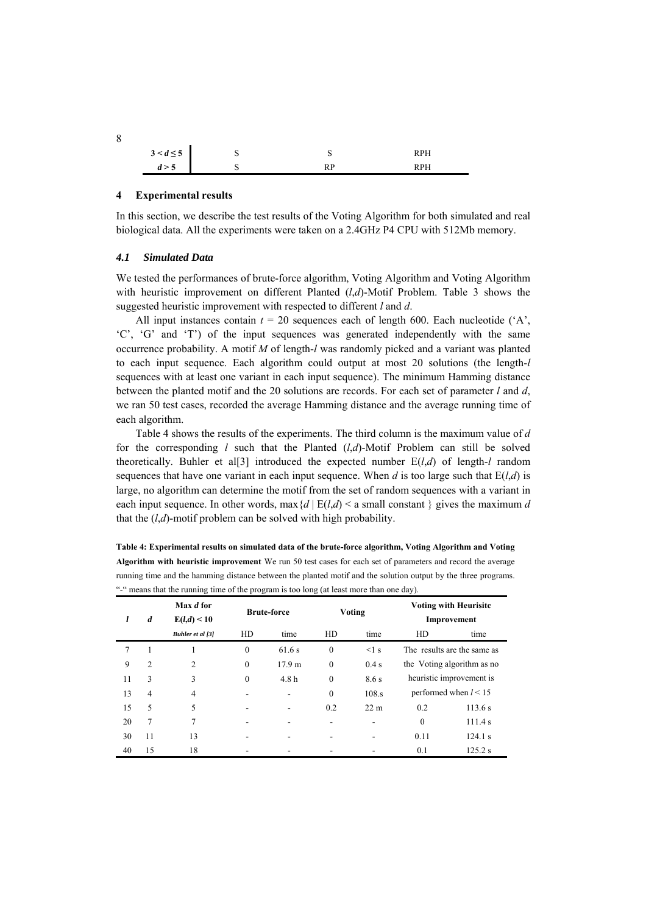|       | $3 < d \leq 5$ | ш | ◡                     | RPH |
|-------|----------------|---|-----------------------|-----|
| d > 5 |                | ш | DЪ<br>$\overline{11}$ | RPH |

## **4 Experimental results**

In this section, we describe the test results of the Voting Algorithm for both simulated and real biological data. All the experiments were taken on a 2.4GHz P4 CPU with 512Mb memory.

### *4.1 Simulated Data*

We tested the performances of brute-force algorithm, Voting Algorithm and Voting Algorithm with heuristic improvement on different Planted (*l*,*d*)-Motif Problem. Table 3 shows the suggested heuristic improvement with respected to different *l* and *d*.

All input instances contain  $t = 20$  sequences each of length 600. Each nucleotide  $(A)$ , ëCí, ëGí and ëTí) of the input sequences was generated independently with the same occurrence probability. A motif *M* of length-*l* was randomly picked and a variant was planted to each input sequence. Each algorithm could output at most 20 solutions (the length-*l* sequences with at least one variant in each input sequence). The minimum Hamming distance between the planted motif and the 20 solutions are records. For each set of parameter *l* and *d*, we ran 50 test cases, recorded the average Hamming distance and the average running time of each algorithm.

Table 4 shows the results of the experiments. The third column is the maximum value of *d* for the corresponding *l* such that the Planted (*l*,*d*)-Motif Problem can still be solved theoretically. Buhler et al<sup>[3]</sup> introduced the expected number  $E(l,d)$  of length-*l* random sequences that have one variant in each input sequence. When *d* is too large such that  $E(l,d)$  is large, no algorithm can determine the motif from the set of random sequences with a variant in each input sequence. In other words, max ${d | E(l,d) \le a}$  small constant  $}$  gives the maximum *d* that the  $(l,d)$ -motif problem can be solved with high probability.

| l  | $\boldsymbol{d}$ | Max d for<br>E(l,d) < 10 | <b>Brute-force</b> |                   | Voting       |                 | <b>Voting with Heurisite</b><br>Improvement |                             |
|----|------------------|--------------------------|--------------------|-------------------|--------------|-----------------|---------------------------------------------|-----------------------------|
|    |                  | Buhler et al [3]         | HD                 | time              | HD           | time            | HD                                          | time                        |
| 7  |                  |                          | $\mathbf{0}$       | 61.6 s            | $\mathbf{0}$ | $\leq$ 1 s      |                                             | The results are the same as |
| 9  | $\overline{2}$   | $\overline{c}$           | $\mathbf{0}$       | 17.9 <sub>m</sub> | $\mathbf{0}$ | 0.4 s           |                                             | the Voting algorithm as no  |
| 11 | 3                | 3                        | $\theta$           | 4.8h              | $\theta$     | 8.6 s           |                                             | heuristic improvement is    |
| 13 | 4                | 4                        |                    |                   | $\mathbf{0}$ | 108.s           |                                             | performed when $l < 15$     |
| 15 | 5                | 5                        |                    |                   | 0.2          | 22 <sub>m</sub> | 0.2                                         | 113.6 s                     |
| 20 | 7                | 7                        |                    |                   |              |                 | $\theta$                                    | 111.4 s                     |
| 30 | 11               | 13                       |                    |                   |              |                 | 0.11                                        | 124.1 s                     |
| 40 | 15               | 18                       |                    |                   |              |                 | 0.1                                         | 125.2 s                     |

**Table 4: Experimental results on simulated data of the brute-force algorithm, Voting Algorithm and Voting Algorithm with heuristic improvement** We run 50 test cases for each set of parameters and record the average running time and the hamming distance between the planted motif and the solution output by the three programs.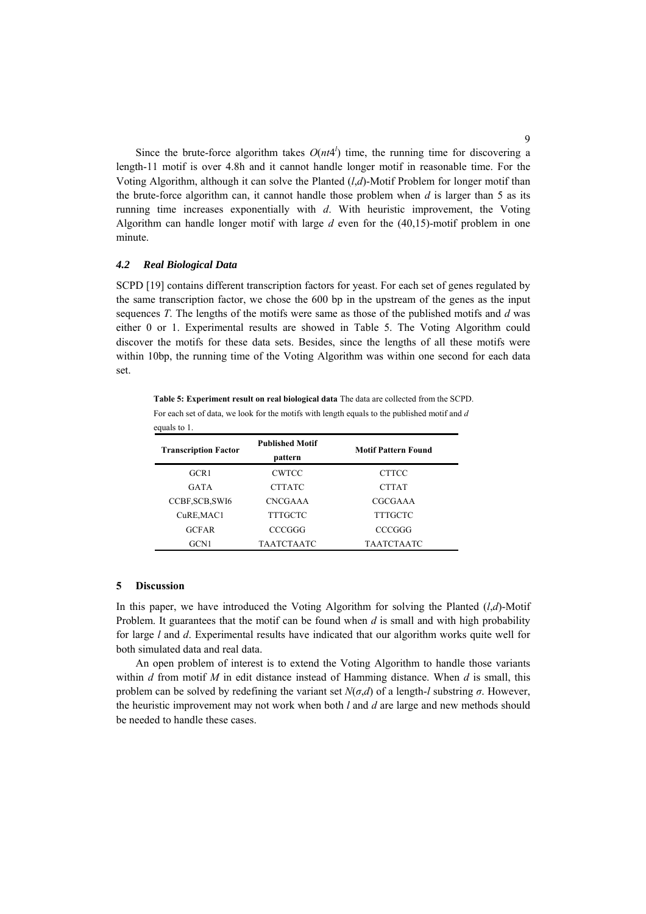Since the brute-force algorithm takes  $O(nt4^l)$  time, the running time for discovering a length-11 motif is over 4.8h and it cannot handle longer motif in reasonable time. For the Voting Algorithm, although it can solve the Planted (*l*,*d*)-Motif Problem for longer motif than the brute-force algorithm can, it cannot handle those problem when  $d$  is larger than  $5$  as its running time increases exponentially with *d*. With heuristic improvement, the Voting Algorithm can handle longer motif with large *d* even for the (40,15)-motif problem in one minute.

## *4.2 Real Biological Data*

SCPD [19] contains different transcription factors for yeast. For each set of genes regulated by the same transcription factor, we chose the 600 bp in the upstream of the genes as the input sequences *T*. The lengths of the motifs were same as those of the published motifs and *d* was either 0 or 1. Experimental results are showed in Table 5. The Voting Algorithm could discover the motifs for these data sets. Besides, since the lengths of all these motifs were within 10bp, the running time of the Voting Algorithm was within one second for each data set.

**Table 5: Experiment result on real biological data** The data are collected from the SCPD. For each set of data, we look for the motifs with length equals to the published motif and *d* equals to 1.

| <b>Transcription Factor</b> | <b>Published Motif</b><br>pattern | <b>Motif Pattern Found</b> |  |  |
|-----------------------------|-----------------------------------|----------------------------|--|--|
| GCR1                        | <b>CWTCC</b>                      | <b>CTTCC</b>               |  |  |
| <b>GATA</b>                 | <b>CTTATC</b>                     | <b>CTTAT</b>               |  |  |
| CCBF, SCB, SWI6             | <b>CNCGAAA</b>                    | CGCGAAA                    |  |  |
| CuRE, MAC1                  | TTTGCTC                           | TTTGCTC                    |  |  |
| <b>GCFAR</b>                | CCCGGG                            | CCCGGG                     |  |  |
| GCN1                        | TAATCTAATC                        | <b>TAATCTAATC</b>          |  |  |

#### **5 Discussion**

In this paper, we have introduced the Voting Algorithm for solving the Planted (*l*,*d*)-Motif Problem. It guarantees that the motif can be found when *d* is small and with high probability for large *l* and *d*. Experimental results have indicated that our algorithm works quite well for both simulated data and real data.

An open problem of interest is to extend the Voting Algorithm to handle those variants within *d* from motif *M* in edit distance instead of Hamming distance. When *d* is small, this problem can be solved by redefining the variant set  $N(\sigma, d)$  of a length-*l* substring  $\sigma$ . However, the heuristic improvement may not work when both *l* and *d* are large and new methods should be needed to handle these cases.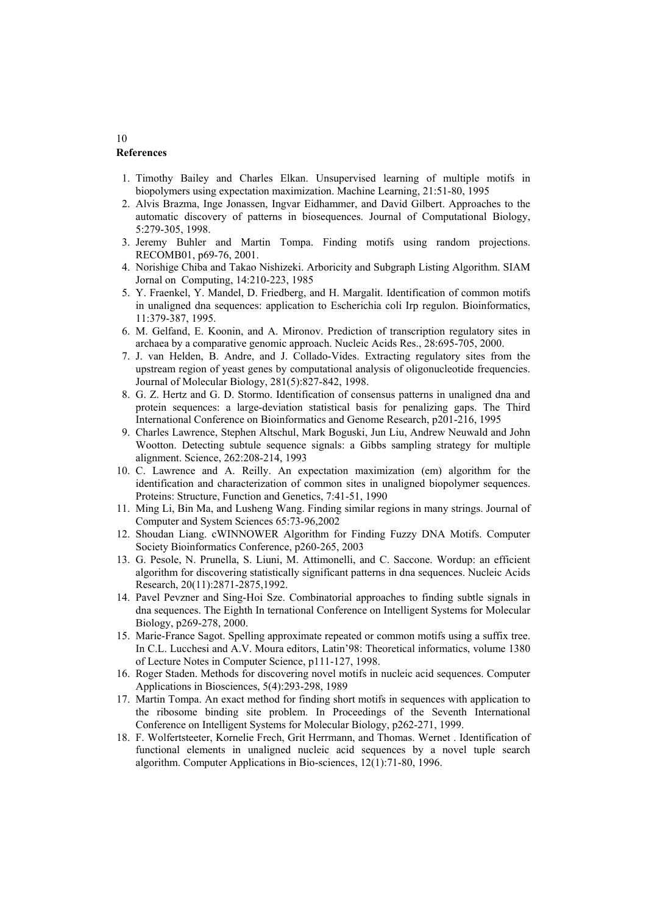## **References**

- 1. Timothy Bailey and Charles Elkan. Unsupervised learning of multiple motifs in biopolymers using expectation maximization. Machine Learning, 21:51-80, 1995
- 2. Alvis Brazma, Inge Jonassen, Ingvar Eidhammer, and David Gilbert. Approaches to the automatic discovery of patterns in biosequences. Journal of Computational Biology, 5:279-305, 1998.
- 3. Jeremy Buhler and Martin Tompa. Finding motifs using random projections. RECOMB01, p69-76, 2001.
- 4. Norishige Chiba and Takao Nishizeki. Arboricity and Subgraph Listing Algorithm. SIAM Jornal on Computing, 14:210-223, 1985
- 5. Y. Fraenkel, Y. Mandel, D. Friedberg, and H. Margalit. Identification of common motifs in unaligned dna sequences: application to Escherichia coli Irp regulon. Bioinformatics, 11:379-387, 1995.
- 6. M. Gelfand, E. Koonin, and A. Mironov. Prediction of transcription regulatory sites in archaea by a comparative genomic approach. Nucleic Acids Res., 28:695-705, 2000.
- 7. J. van Helden, B. Andre, and J. Collado-Vides. Extracting regulatory sites from the upstream region of yeast genes by computational analysis of oligonucleotide frequencies. Journal of Molecular Biology, 281(5):827-842, 1998.
- 8. G. Z. Hertz and G. D. Stormo. Identification of consensus patterns in unaligned dna and protein sequences: a large-deviation statistical basis for penalizing gaps. The Third International Conference on Bioinformatics and Genome Research, p201-216, 1995
- 9. Charles Lawrence, Stephen Altschul, Mark Boguski, Jun Liu, Andrew Neuwald and John Wootton. Detecting subtule sequence signals: a Gibbs sampling strategy for multiple alignment. Science, 262:208-214, 1993
- 10. C. Lawrence and A. Reilly. An expectation maximization (em) algorithm for the identification and characterization of common sites in unaligned biopolymer sequences. Proteins: Structure, Function and Genetics, 7:41-51, 1990
- 11. Ming Li, Bin Ma, and Lusheng Wang. Finding similar regions in many strings. Journal of Computer and System Sciences 65:73-96,2002
- 12. Shoudan Liang. cWINNOWER Algorithm for Finding Fuzzy DNA Motifs. Computer Society Bioinformatics Conference, p260-265, 2003
- 13. G. Pesole, N. Prunella, S. Liuni, M. Attimonelli, and C. Saccone. Wordup: an efficient algorithm for discovering statistically significant patterns in dna sequences. Nucleic Acids Research, 20(11):2871-2875,1992.
- 14. Pavel Pevzner and Sing-Hoi Sze. Combinatorial approaches to finding subtle signals in dna sequences. The Eighth In ternational Conference on Intelligent Systems for Molecular Biology, p269-278, 2000.
- 15. Marie-France Sagot. Spelling approximate repeated or common motifs using a suffix tree. In C.L. Lucchesi and A.V. Moura editors, Latin<sup>3</sup>98: Theoretical informatics, volume 1380 of Lecture Notes in Computer Science, p111-127, 1998.
- 16. Roger Staden. Methods for discovering novel motifs in nucleic acid sequences. Computer Applications in Biosciences, 5(4):293-298, 1989
- 17. Martin Tompa. An exact method for finding short motifs in sequences with application to the ribosome binding site problem. In Proceedings of the Seventh International Conference on Intelligent Systems for Molecular Biology, p262-271, 1999.
- 18. F. Wolfertsteeter, Kornelie Frech, Grit Herrmann, and Thomas. Wernet . Identification of functional elements in unaligned nucleic acid sequences by a novel tuple search algorithm. Computer Applications in Bio-sciences, 12(1):71-80, 1996.